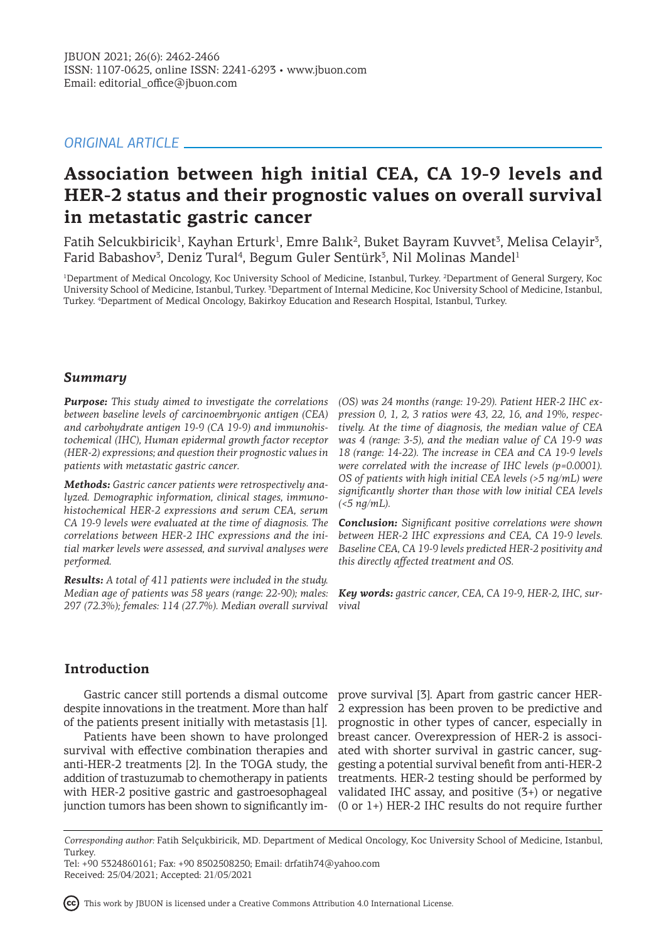## *ORIGINAL ARTICLE*

# **Association between high initial CEA, CA 19-9 levels and HER-2 status and their prognostic values on overall survival in metastatic gastric cancer**

Fatih Selcukbiricik<sup>1</sup>, Kayhan Erturk<sup>1</sup>, Emre Balık<sup>2</sup>, Buket Bayram Kuvvet<sup>3</sup>, Melisa Celayir<sup>3</sup>, Farid Babashov<sup>3</sup>, Deniz Tural<sup>4</sup>, Begum Guler Sentürk<sup>3</sup>, Nil Molinas Mandel<sup>1</sup>

<sup>1</sup>Department of Medical Oncology, Koc University School of Medicine, Istanbul, Turkey. <sup>2</sup>Department of General Surgery, Koc University School of Medicine, Istanbul, Turkey. <sup>3</sup>Department of Internal Medicine, Koc University School of Medicine, Istanbul, Turkey. <sup>4</sup> Department of Medical Oncology, Bakirkoy Education and Research Hospital, Istanbul, Turkey.

### *Summary*

*Purpose: This study aimed to investigate the correlations between baseline levels of carcinoembryonic antigen (CEA) and carbohydrate antigen 19-9 (CA 19-9) and immunohistochemical (IHC), Human epidermal growth factor receptor (HER-2) expressions; and question their prognostic values in patients with metastatic gastric cancer.* 

*Methods: Gastric cancer patients were retrospectively analyzed. Demographic information, clinical stages, immunohistochemical HER-2 expressions and serum CEA, serum CA 19-9 levels were evaluated at the time of diagnosis. The correlations between HER-2 IHC expressions and the initial marker levels were assessed, and survival analyses were performed.*

*Results: A total of 411 patients were included in the study. Median age of patients was 58 years (range: 22-90); males: 297 (72.3%); females: 114 (27.7%). Median overall survival* 

*(OS) was 24 months (range: 19-29). Patient HER-2 IHC expression 0, 1, 2, 3 ratios were 43, 22, 16, and 19%, respectively. At the time of diagnosis, the median value of CEA was 4 (range: 3-5), and the median value of CA 19-9 was 18 (range: 14-22). The increase in CEA and CA 19-9 levels were correlated with the increase of IHC levels (p=0.0001). OS of patients with high initial CEA levels (>5 ng/mL) were significantly shorter than those with low initial CEA levels (<5 ng/mL).*

*Conclusion: Significant positive correlations were shown between HER-2 IHC expressions and CEA, CA 19-9 levels. Baseline CEA, CA 19-9 levels predicted HER-2 positivity and this directly affected treatment and OS.* 

*Key words: gastric cancer, CEA, CA 19-9, HER-2, IHC, survival* 

## **Introduction**

Gastric cancer still portends a dismal outcome despite innovations in the treatment. More than half of the patients present initially with metastasis [1].

Patients have been shown to have prolonged survival with effective combination therapies and anti-HER-2 treatments [2]. In the TOGA study, the addition of trastuzumab to chemotherapy in patients with HER-2 positive gastric and gastroesophageal junction tumors has been shown to significantly im-

prove survival [3]. Apart from gastric cancer HER-2 expression has been proven to be predictive and prognostic in other types of cancer, especially in breast cancer. Overexpression of HER-2 is associated with shorter survival in gastric cancer, suggesting a potential survival benefit from anti-HER-2 treatments. HER-2 testing should be performed by validated IHC assay, and positive (3+) or negative (0 or 1+) HER-2 IHC results do not require further

This work by JBUON is licensed under a Creative Commons Attribution 4.0 International License.

*Corresponding author:* Fatih Selçukbiricik, MD. Department of Medical Oncology, Koc University School of Medicine, Istanbul, Turkey.

Tel: +90 5324860161; Fax: +90 8502508250; Email: drfatih74@yahoo.com Received: 25/04/2021; Accepted: 21/05/2021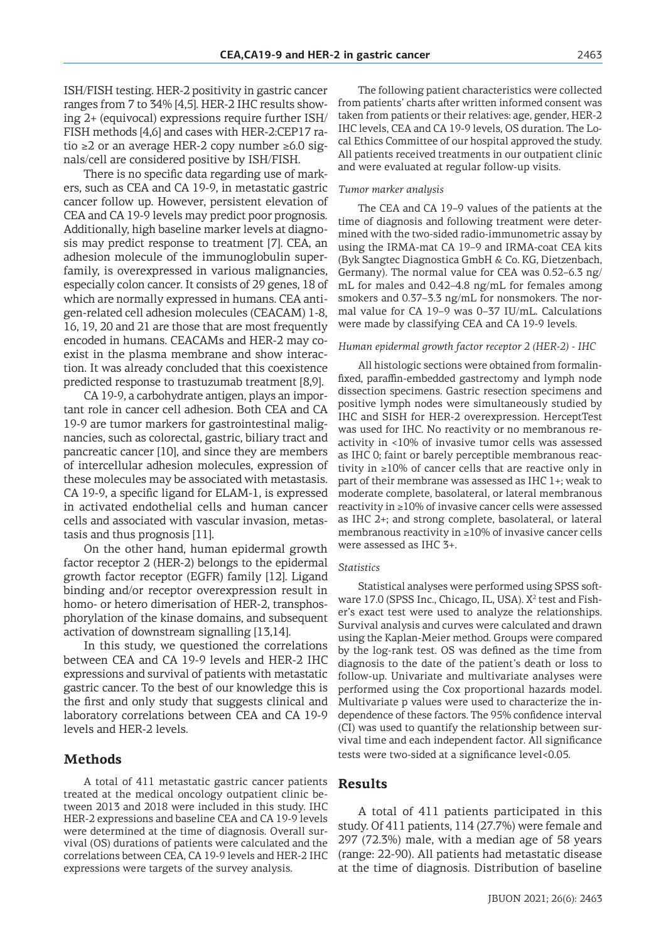ISH/FISH testing. HER-2 positivity in gastric cancer ranges from 7 to 34% [4,5]. HER-2 IHC results showing 2+ (equivocal) expressions require further ISH/ FISH methods [4,6] and cases with HER-2:CEP17 ratio ≥2 or an average HER-2 copy number ≥6.0 signals/cell are considered positive by ISH/FISH.

There is no specific data regarding use of markers, such as CEA and CA 19-9, in metastatic gastric cancer follow up. However, persistent elevation of CEA and CA 19-9 levels may predict poor prognosis. Additionally, high baseline marker levels at diagnosis may predict response to treatment [7]. CEA, an adhesion molecule of the immunoglobulin superfamily, is overexpressed in various malignancies, especially colon cancer. It consists of 29 genes, 18 of which are normally expressed in humans. CEA antigen-related cell adhesion molecules (CEACAM) 1-8, 16, 19, 20 and 21 are those that are most frequently encoded in humans. CEACAMs and HER-2 may coexist in the plasma membrane and show interaction. It was already concluded that this coexistence predicted response to trastuzumab treatment [8,9].

CA 19-9, a carbohydrate antigen, plays an important role in cancer cell adhesion. Both CEA and CA 19-9 are tumor markers for gastrointestinal malignancies, such as colorectal, gastric, biliary tract and pancreatic cancer [10], and since they are members of intercellular adhesion molecules, expression of these molecules may be associated with metastasis. CA 19-9, a specific ligand for ELAM-1, is expressed in activated endothelial cells and human cancer cells and associated with vascular invasion, metastasis and thus prognosis [11].

On the other hand, human epidermal growth factor receptor 2 (HER-2) belongs to the epidermal growth factor receptor (EGFR) family [12]. Ligand binding and/or receptor overexpression result in homo- or hetero dimerisation of HER-2, transphosphorylation of the kinase domains, and subsequent activation of downstream signalling [13,14].

In this study, we questioned the correlations between CEA and CA 19-9 levels and HER-2 IHC expressions and survival of patients with metastatic gastric cancer. To the best of our knowledge this is the first and only study that suggests clinical and laboratory correlations between CEA and CA 19-9 levels and HER-2 levels.

### **Methods**

A total of 411 metastatic gastric cancer patients treated at the medical oncology outpatient clinic between 2013 and 2018 were included in this study. IHC HER-2 expressions and baseline CEA and CA 19-9 levels were determined at the time of diagnosis. Overall survival (OS) durations of patients were calculated and the correlations between CEA, CA 19-9 levels and HER-2 IHC expressions were targets of the survey analysis.

The following patient characteristics were collected from patients' charts after written informed consent was taken from patients or their relatives: age, gender, HER-2 IHC levels, CEA and CA 19-9 levels, OS duration. The Local Ethics Committee of our hospital approved the study. All patients received treatments in our outpatient clinic and were evaluated at regular follow-up visits.

#### *Tumor marker analysis*

The CEA and CA 19–9 values of the patients at the time of diagnosis and following treatment were determined with the two-sided radio-immunometric assay by using the IRMA-mat CA 19–9 and IRMA-coat CEA kits (Byk Sangtec Diagnostica GmbH & Co. KG, Dietzenbach, Germany). The normal value for CEA was 0.52–6.3 ng/ mL for males and 0.42–4.8 ng/mL for females among smokers and 0.37–3.3 ng/mL for nonsmokers. The normal value for CA 19–9 was 0–37 IU/mL. Calculations were made by classifying CEA and CA 19-9 levels.

#### *Human epidermal growth factor receptor 2 (HER-2) - IHC*

All histologic sections were obtained from formalinfixed, paraffin-embedded gastrectomy and lymph node dissection specimens. Gastric resection specimens and positive lymph nodes were simultaneously studied by IHC and SISH for HER-2 overexpression. HerceptTest was used for IHC. No reactivity or no membranous reactivity in <10% of invasive tumor cells was assessed as IHC 0; faint or barely perceptible membranous reactivity in ≥10% of cancer cells that are reactive only in part of their membrane was assessed as IHC 1+; weak to moderate complete, basolateral, or lateral membranous reactivity in ≥10% of invasive cancer cells were assessed as IHC 2+; and strong complete, basolateral, or lateral membranous reactivity in ≥10% of invasive cancer cells were assessed as IHC 3+.

#### *Statistics*

Statistical analyses were performed using SPSS software  $17.0$  (SPSS Inc., Chicago, IL, USA).  $X^2$  test and Fisher's exact test were used to analyze the relationships. Survival analysis and curves were calculated and drawn using the Kaplan-Meier method. Groups were compared by the log-rank test. OS was defined as the time from diagnosis to the date of the patient's death or loss to follow-up. Univariate and multivariate analyses were performed using the Cox proportional hazards model. Multivariate p values were used to characterize the independence of these factors. The 95% confidence interval (CI) was used to quantify the relationship between survival time and each independent factor. All significance tests were two-sided at a significance level<0.05.

#### **Results**

A total of 411 patients participated in this study. Of 411 patients, 114 (27.7%) were female and 297 (72.3%) male, with a median age of 58 years (range: 22-90). All patients had metastatic disease at the time of diagnosis. Distribution of baseline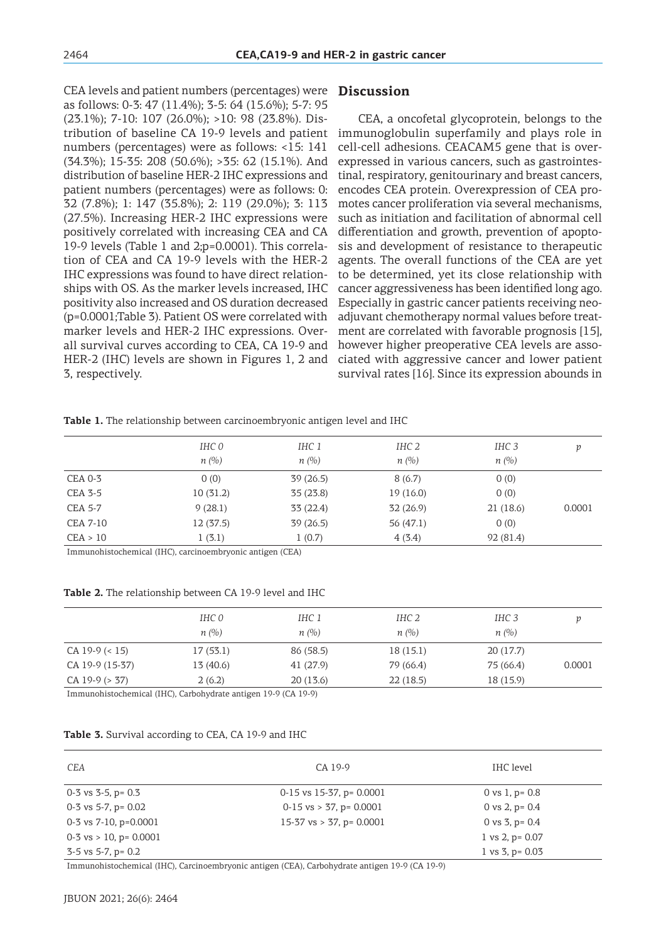CEA levels and patient numbers (percentages) were as follows: 0-3: 47 (11.4%); 3-5: 64 (15.6%); 5-7: 95 (23.1%); 7-10: 107 (26.0%); >10: 98 (23.8%). Distribution of baseline CA 19-9 levels and patient numbers (percentages) were as follows: <15: 141 (34.3%); 15-35: 208 (50.6%); >35: 62 (15.1%). And distribution of baseline HER-2 IHC expressions and patient numbers (percentages) were as follows: 0: 32 (7.8%); 1: 147 (35.8%); 2: 119 (29.0%); 3: 113 (27.5%). Increasing HER-2 IHC expressions were positively correlated with increasing CEA and CA 19-9 levels (Table 1 and 2;p=0.0001). This correlation of CEA and CA 19-9 levels with the HER-2 IHC expressions was found to have direct relationships with OS. As the marker levels increased, IHC positivity also increased and OS duration decreased (p=0.0001;Table 3). Patient OS were correlated with marker levels and HER-2 IHC expressions. Overall survival curves according to CEA, CA 19-9 and HER-2 (IHC) levels are shown in Figures 1, 2 and 3, respectively.

### **Discussion**

CEA, a oncofetal glycoprotein, belongs to the immunoglobulin superfamily and plays role in cell-cell adhesions. CEACAM5 gene that is overexpressed in various cancers, such as gastrointestinal, respiratory, genitourinary and breast cancers, encodes CEA protein. Overexpression of CEA promotes cancer proliferation via several mechanisms, such as initiation and facilitation of abnormal cell differentiation and growth, prevention of apoptosis and development of resistance to therapeutic agents. The overall functions of the CEA are yet to be determined, yet its close relationship with cancer aggressiveness has been identified long ago. Especially in gastric cancer patients receiving neoadjuvant chemotherapy normal values before treatment are correlated with favorable prognosis [15], however higher preoperative CEA levels are associated with aggressive cancer and lower patient survival rates [16]. Since its expression abounds in

#### **Table 1.** The relationship between carcinoembryonic antigen level and IHC

|                 | IHC 0<br>n(%) | IHC 1<br>$n(\%)$ | IHC 2<br>n(%) | IHC <sub>3</sub><br>$n(\%)$ | v      |
|-----------------|---------------|------------------|---------------|-----------------------------|--------|
|                 |               |                  |               |                             |        |
| <b>CEA 0-3</b>  | 0(0)          | 39(26.5)         | 8(6.7)        | 0(0)                        |        |
| <b>CEA 3-5</b>  | 10(31.2)      | 35(23.8)         | 19(16.0)      | 0(0)                        |        |
| <b>CEA 5-7</b>  | 9(28.1)       | 33 (22.4)        | 32(26.9)      | 21(18.6)                    | 0.0001 |
| <b>CEA 7-10</b> | 12(37.5)      | 39(26.5)         | 56 $(47.1)$   | 0(0)                        |        |
| CEA > 10        | 1(3.1)        | 1(0.7)           | 4(3.4)        | 92(81.4)                    |        |
|                 | .             |                  |               |                             |        |

Immunohistochemical (IHC), carcinoembryonic antigen (CEA)

**Table 2.** The relationship between CA 19-9 level and IHC

|                      | IHC 0<br>n(%) | IHC 1<br>n(%)                             | IHC 2<br>n(%) | IHC 3<br>n(%) |        |
|----------------------|---------------|-------------------------------------------|---------------|---------------|--------|
|                      |               |                                           |               |               |        |
| CA 19-9 $($ < 15)    | 17(53.1)      | 86 (58.5)                                 | 18(15.1)      | 20(17.7)      |        |
| CA 19-9 (15-37)      | 13 (40.6)     | 41 (27.9)                                 | 79 (66.4)     | 75 (66.4)     | 0.0001 |
| $CA$ 19-9 ( $> 37$ ) | 2(6.2)        | 20(13.6)                                  | 22(18.5)      | 18 (15.9)     |        |
|                      |               | $\sim$ $\sim$ $\sim$ $\sim$ $\sim$ $\sim$ |               |               |        |

Immunohistochemical (IHC), Carbohydrate antigen 19-9 (CA 19-9)

#### **Table 3.** Survival according to CEA, CA 19-9 and IHC

Immunohistochemical (IHC), Carcinoembryonic antigen (CEA), Carbohydrate antigen 19-9 (CA 19-9)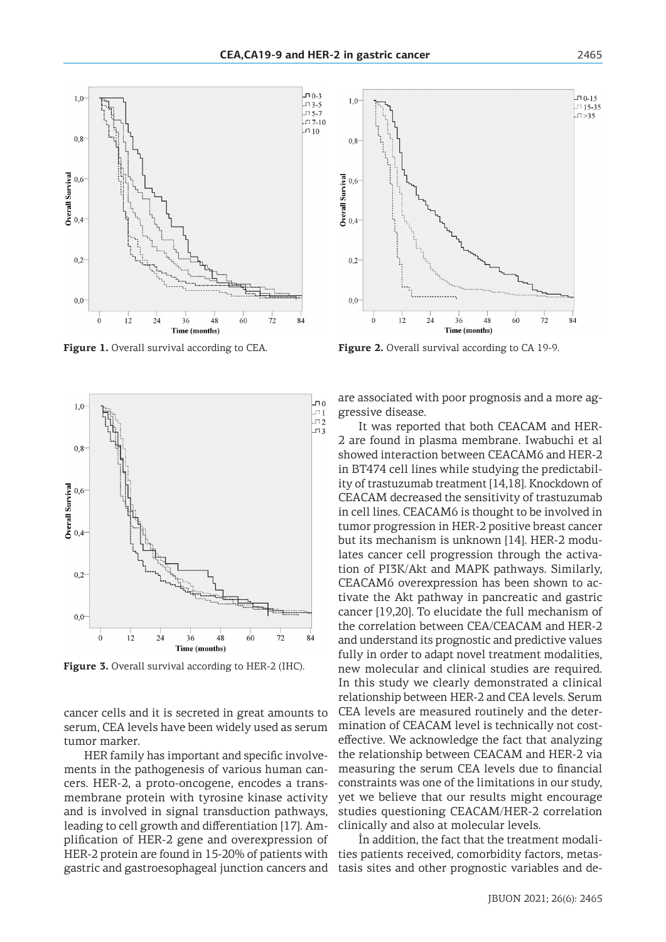



**Figure 3.** Overall survival according to HER-2 (IHC).

cancer cells and it is secreted in great amounts to serum, CEA levels have been widely used as serum tumor marker.

HER family has important and specific involvements in the pathogenesis of various human cancers. HER-2, a proto-oncogene, encodes a transmembrane protein with tyrosine kinase activity and is involved in signal transduction pathways, leading to cell growth and differentiation [17]. Amplification of HER-2 gene and overexpression of HER-2 protein are found in 15-20% of patients with gastric and gastroesophageal junction cancers and



**Figure 1.** Overall survival according to CEA. **Figure 2.** Overall survival according to CA 19-9.

are associated with poor prognosis and a more aggressive disease.

It was reported that both CEACAM and HER-2 are found in plasma membrane. Iwabuchi et al showed interaction between CEACAM6 and HER-2 in BT474 cell lines while studying the predictability of trastuzumab treatment [14,18]. Knockdown of CEACAM decreased the sensitivity of trastuzumab in cell lines. CEACAM6 is thought to be involved in tumor progression in HER-2 positive breast cancer but its mechanism is unknown [14]. HER-2 modulates cancer cell progression through the activation of PI3K/Akt and MAPK pathways. Similarly, CEACAM6 overexpression has been shown to activate the Akt pathway in pancreatic and gastric cancer [19,20]. To elucidate the full mechanism of the correlation between CEA/CEACAM and HER-2 and understand its prognostic and predictive values fully in order to adapt novel treatment modalities, new molecular and clinical studies are required. In this study we clearly demonstrated a clinical relationship between HER-2 and CEA levels. Serum CEA levels are measured routinely and the determination of CEACAM level is technically not costeffective. We acknowledge the fact that analyzing the relationship between CEACAM and HER-2 via measuring the serum CEA levels due to financial constraints was one of the limitations in our study, yet we believe that our results might encourage studies questioning CEACAM/HER-2 correlation clinically and also at molecular levels.

İn addition, the fact that the treatment modalities patients received, comorbidity factors, metastasis sites and other prognostic variables and de